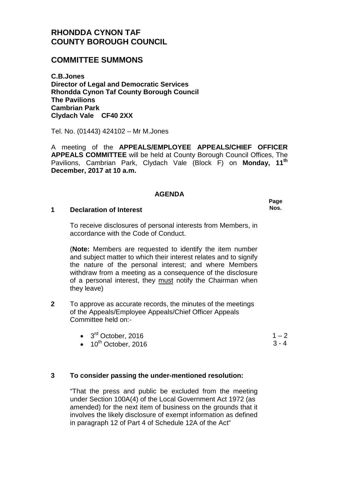# **RHONDDA CYNON TAF COUNTY BOROUGH COUNCIL**

## **COMMITTEE SUMMONS**

**C.B.Jones Director of Legal and Democratic Services Rhondda Cynon Taf County Borough Council The Pavilions Cambrian Park Clydach Vale CF40 2XX**

Tel. No. (01443) 424102 – Mr M.Jones

A meeting of the **APPEALS/EMPLOYEE APPEALS/CHIEF OFFICER APPEALS COMMITTEE** will be held at County Borough Council Offices, The Pavilions, Cambrian Park, Clydach Vale (Block F) on **Monday, 11th December, 2017 at 10 a.m.**

#### **AGENDA**

#### **1 Declaration of Interest**

To receive disclosures of personal interests from Members, in accordance with the Code of Conduct.

(**Note:** Members are requested to identify the item number and subject matter to which their interest relates and to signify the nature of the personal interest; and where Members withdraw from a meeting as a consequence of the disclosure of a personal interest, they must notify the Chairman when they leave)

- **2** To approve as accurate records, the minutes of the meetings of the Appeals/Employee Appeals/Chief Officer Appeals Committee held on:-
	- $\bullet$  3<sup>rd</sup> October, 2016
	- $\bullet$  10<sup>th</sup> October, 2016

## **3 To consider passing the under-mentioned resolution:**

"That the press and public be excluded from the meeting under Section 100A(4) of the Local Government Act 1972 (as amended) for the next item of business on the grounds that it involves the likely disclosure of exempt information as defined in paragraph 12 of Part 4 of Schedule 12A of the Act"

 $1 - 2$ 

 $3 - 4$ 

**Page Nos.**